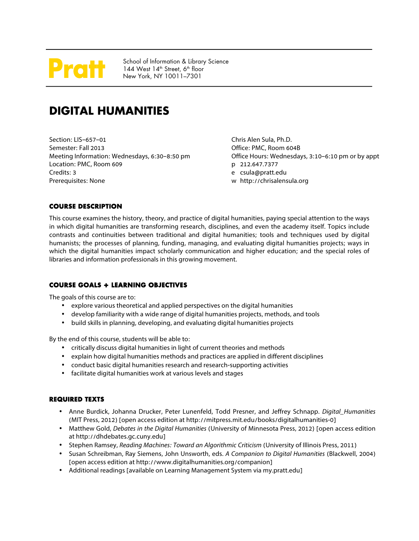# rafl

School of Information & Library Science  $144$  West  $14<sup>th</sup>$  Street, 6<sup>th</sup> floor New York, NY 10011–7301

# **DIGITAL HUMANITIES**

Section: LIS–657–01 Semester: Fall 2013 Meeting Information: Wednesdays, 6:30–8:50 pm Location: PMC, Room 609 Credits: 3 Prerequisites: None

Chris Alen Sula, Ph.D. Office: PMC, Room 604B Office Hours: Wednesdays, 3:10–6:10 pm or by appt p 212.647.7377 e csula@pratt.edu w http://chrisalensula.org

# **COURSE DESCRIPTION**

This course examines the history, theory, and practice of digital humanities, paying special attention to the ways in which digital humanities are transforming research, disciplines, and even the academy itself. Topics include contrasts and continuities between traditional and digital humanities; tools and techniques used by digital humanists; the processes of planning, funding, managing, and evaluating digital humanities projects; ways in which the digital humanities impact scholarly communication and higher education; and the special roles of libraries and information professionals in this growing movement.

# **COURSE GOALS + LEARNING OBJECTIVES**

The goals of this course are to:

- explore various theoretical and applied perspectives on the digital humanities
- develop familiarity with a wide range of digital humanities projects, methods, and tools
- build skills in planning, developing, and evaluating digital humanities projects

By the end of this course, students will be able to:

- critically discuss digital humanities in light of current theories and methods
- explain how digital humanities methods and practices are applied in different disciplines
- conduct basic digital humanities research and research-supporting activities
- facilitate digital humanities work at various levels and stages

# **REQUIRED TEXTS**

- Anne Burdick, Johanna Drucker, Peter Lunenfeld, Todd Presner, and Jeffrey Schnapp. *Digital\_Humanities* (MIT Press, 2012) [open access edition at http://mitpress.mit.edu/books/digitalhumanities-0]
- Matthew Gold, *Debates in the Digital Humanities* (University of Minnesota Press, 2012) [open access edition at http://dhdebates.gc.cuny.edu]
- Stephen Ramsey, *Reading Machines: Toward an Algorithmic Criticism* (University of Illinois Press, 2011)
- Susan Schreibman, Ray Siemens, John Unsworth, eds. *A Companion to Digital Humanities* (Blackwell, 2004) [open access edition at http://www.digitalhumanities.org/companion]
- Additional readings [available on Learning Management System via my.pratt.edu]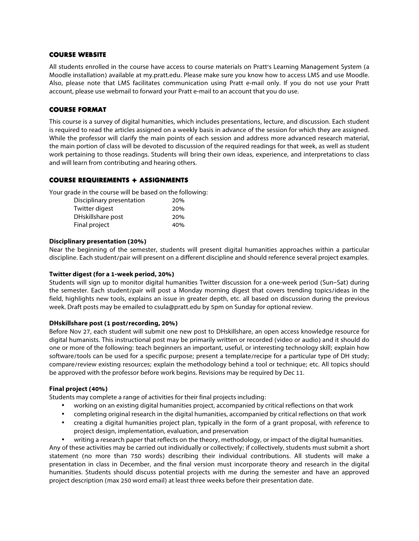#### **COURSE WEBSITE**

All students enrolled in the course have access to course materials on Pratt's Learning Management System (a Moodle installation) available at my.pratt.edu. Please make sure you know how to access LMS and use Moodle. Also, please note that LMS facilitates communication using Pratt e-mail only. If you do not use your Pratt account, please use webmail to forward your Pratt e-mail to an account that you do use.

#### **COURSE FORMAT**

This course is a survey of digital humanities, which includes presentations, lecture, and discussion. Each student is required to read the articles assigned on a weekly basis in advance of the session for which they are assigned. While the professor will clarify the main points of each session and address more advanced research material, the main portion of class will be devoted to discussion of the required readings for that week, as well as student work pertaining to those readings. Students will bring their own ideas, experience, and interpretations to class and will learn from contributing and hearing others.

### **COURSE REQUIREMENTS + ASSIGNMENTS**

Your grade in the course will be based on the following:

| Disciplinary presentation | 20% |
|---------------------------|-----|
| Twitter digest            | 20% |
| DHskillshare post         | 20% |
| Final project             | 40% |

#### **Disciplinary presentation (20%)**

Near the beginning of the semester, students will present digital humanities approaches within a particular discipline. Each student/pair will present on a different discipline and should reference several project examples.

#### **Twitter digest (for a 1-week period, 20%)**

Students will sign up to monitor digital humanities Twitter discussion for a one-week period (Sun–Sat) during the semester. Each student/pair will post a Monday morning digest that covers trending topics/ideas in the field, highlights new tools, explains an issue in greater depth, etc. all based on discussion during the previous week. Draft posts may be emailed to csula@pratt.edu by 5pm on Sunday for optional review.

#### **DHskillshare post (1 post/recording, 20%)**

Before Nov 27, each student will submit one new post to DHskillshare, an open access knowledge resource for digital humanists. This instructional post may be primarily written or recorded (video or audio) and it should do one or more of the following: teach beginners an important, useful, or interesting technology skill; explain how software/tools can be used for a specific purpose; present a template/recipe for a particular type of DH study; compare/review existing resources; explain the methodology behind a tool or technique; etc. All topics should be approved with the professor before work begins. Revisions may be required by Dec 11.

#### **Final project (40%)**

Students may complete a range of activities for their final projects including:

- working on an existing digital humanities project, accompanied by critical reflections on that work
- completing original research in the digital humanities, accompanied by critical reflections on that work
- creating a digital humanities project plan, typically in the form of a grant proposal, with reference to project design, implementation, evaluation, and preservation

• writing a research paper that reflects on the theory, methodology, or impact of the digital humanities. Any of these activities may be carried out individually or collectively; if collectively, students must submit a short statement (no more than 750 words) describing their individual contributions. All students will make a presentation in class in December, and the final version must incorporate theory and research in the digital humanities. Students should discuss potential projects with me during the semester and have an approved project description (max 250 word email) at least three weeks before their presentation date.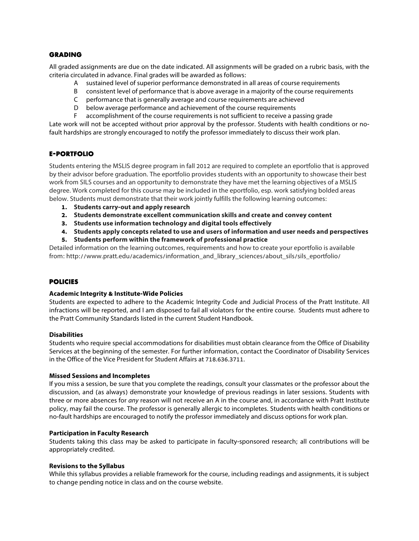#### **GRADING**

All graded assignments are due on the date indicated. All assignments will be graded on a rubric basis, with the criteria circulated in advance. Final grades will be awarded as follows:

- A sustained level of superior performance demonstrated in all areas of course requirements
- B consistent level of performance that is above average in a majority of the course requirements
- C performance that is generally average and course requirements are achieved
- D below average performance and achievement of the course requirements
- F accomplishment of the course requirements is not sufficient to receive a passing grade

Late work will not be accepted without prior approval by the professor. Students with health conditions or nofault hardships are strongly encouraged to notify the professor immediately to discuss their work plan.

# **E-PORTFOLIO**

Students entering the MSLIS degree program in fall 2012 are required to complete an eportfolio that is approved by their advisor before graduation. The eportfolio provides students with an opportunity to showcase their best work from SILS courses and an opportunity to demonstrate they have met the learning objectives of a MSLIS degree. Work completed for this course may be included in the eportfolio, esp. work satisfying bolded areas below. Students must demonstrate that their work jointly fulfills the following learning outcomes:

- **1. Students carry-out and apply research**
- **2. Students demonstrate excellent communication skills and create and convey content**
- **3. Students use information technology and digital tools effectively**
- **4. Students apply concepts related to use and users of information and user needs and perspectives**
- **5. Students perform within the framework of professional practice**

Detailed information on the learning outcomes, requirements and how to create your eportfolio is available from: http://www.pratt.edu/academics/information\_and\_library\_sciences/about\_sils/sils\_eportfolio/

# **POLICIES**

#### **Academic Integrity & Institute-Wide Policies**

Students are expected to adhere to the Academic Integrity Code and Judicial Process of the Pratt Institute. All infractions will be reported, and I am disposed to fail all violators for the entire course. Students must adhere to the Pratt Community Standards listed in the current Student Handbook.

#### **Disabilities**

Students who require special accommodations for disabilities must obtain clearance from the Office of Disability Services at the beginning of the semester. For further information, contact the Coordinator of Disability Services in the Office of the Vice President for Student Affairs at 718.636.3711.

#### **Missed Sessions and Incompletes**

If you miss a session, be sure that you complete the readings, consult your classmates or the professor about the discussion, and (as always) demonstrate your knowledge of previous readings in later sessions. Students with three or more absences for *any* reason will not receive an A in the course and, in accordance with Pratt Institute policy, may fail the course. The professor is generally allergic to incompletes. Students with health conditions or no-fault hardships are encouraged to notify the professor immediately and discuss options for work plan.

#### **Participation in Faculty Research**

Students taking this class may be asked to participate in faculty-sponsored research; all contributions will be appropriately credited.

#### **Revisions to the Syllabus**

While this syllabus provides a reliable framework for the course, including readings and assignments, it is subject to change pending notice in class and on the course website.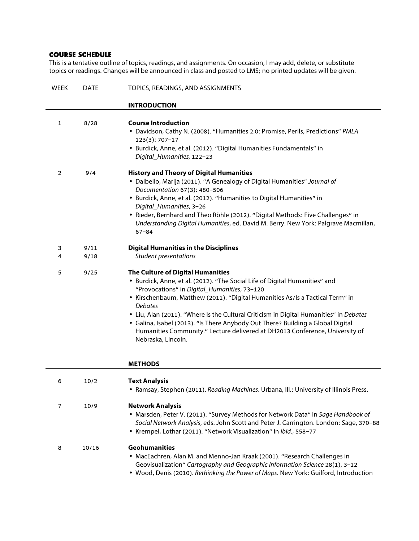# **COURSE SCHEDULE**

This is a tentative outline of topics, readings, and assignments. On occasion, I may add, delete, or substitute topics or readings. Changes will be announced in class and posted to LMS; no printed updates will be given.

| <b>WEEK</b>    | <b>DATE</b>  | TOPICS, READINGS, AND ASSIGNMENTS                                                                                                                                                                                                                                                                                                                                                                                                                                                                                                                      |
|----------------|--------------|--------------------------------------------------------------------------------------------------------------------------------------------------------------------------------------------------------------------------------------------------------------------------------------------------------------------------------------------------------------------------------------------------------------------------------------------------------------------------------------------------------------------------------------------------------|
|                |              | <b>INTRODUCTION</b>                                                                                                                                                                                                                                                                                                                                                                                                                                                                                                                                    |
| $\mathbf{1}$   | 8/28         | <b>Course Introduction</b><br>• Davidson, Cathy N. (2008). "Humanities 2.0: Promise, Perils, Predictions" PMLA<br>123(3): 707-17<br>• Burdick, Anne, et al. (2012). "Digital Humanities Fundamentals" in<br>Digital_Humanities, 122-23                                                                                                                                                                                                                                                                                                                 |
| $\overline{2}$ | 9/4          | <b>History and Theory of Digital Humanities</b><br>• Dalbello, Marija (2011). "A Genealogy of Digital Humanities" Journal of<br>Documentation 67(3): 480-506<br>• Burdick, Anne, et al. (2012). "Humanities to Digital Humanities" in<br>Digital_Humanities, 3-26<br>· Rieder, Bernhard and Theo Röhle (2012). "Digital Methods: Five Challenges" in<br>Understanding Digital Humanities, ed. David M. Berry. New York: Palgrave Macmillan,<br>$67 - 84$                                                                                               |
| 3<br>4         | 9/11<br>9/18 | <b>Digital Humanities in the Disciplines</b><br>Student presentations                                                                                                                                                                                                                                                                                                                                                                                                                                                                                  |
| 5              | 9/25         | The Culture of Digital Humanities<br>• Burdick, Anne, et al. (2012). "The Social Life of Digital Humanities" and<br>"Provocations" in Digital_Humanities, 73-120<br>• Kirschenbaum, Matthew (2011). "Digital Humanities As/ls a Tactical Term" in<br><b>Debates</b><br>• Liu, Alan (2011). "Where Is the Cultural Criticism in Digital Humanities" in Debates<br>• Galina, Isabel (2013). "Is There Anybody Out There? Building a Global Digital<br>Humanities Community." Lecture delivered at DH2013 Conference, University of<br>Nebraska, Lincoln. |
|                |              | <b>METHODS</b>                                                                                                                                                                                                                                                                                                                                                                                                                                                                                                                                         |
| 6              | 10/2         | <b>Text Analysis</b><br>• Ramsay, Stephen (2011). Reading Machines. Urbana, Ill.: University of Illinois Press.                                                                                                                                                                                                                                                                                                                                                                                                                                        |
| 7              | 10/9         | <b>Network Analysis</b><br>• Marsden, Peter V. (2011). "Survey Methods for Network Data" in Sage Handbook of<br>Social Network Analysis, eds. John Scott and Peter J. Carrington. London: Sage, 370-88<br>• Krempel, Lothar (2011). "Network Visualization" in ibid., 558-77                                                                                                                                                                                                                                                                           |
| 8              | 10/16        | <b>Geohumanities</b><br>• MacEachren, Alan M. and Menno-Jan Kraak (2001). "Research Challenges in<br>Geovisualization" Cartography and Geographic Information Science 28(1), 3-12<br>. Wood, Denis (2010). Rethinking the Power of Maps. New York: Guilford, Introduction                                                                                                                                                                                                                                                                              |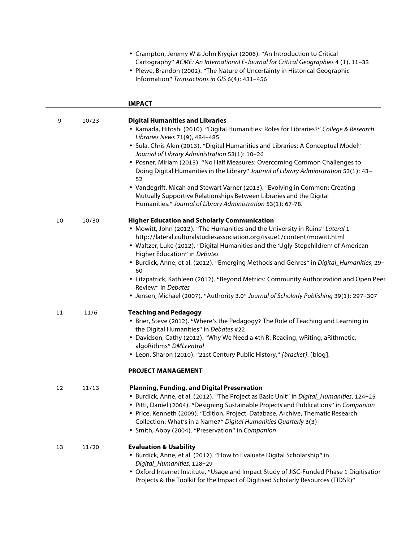|    |       | • Crampton, Jeremy W & John Krygier (2006). "An Introduction to Critical<br>Cartography" ACME: An International E-Journal for Critical Geographies 4 (1), 11-33<br>• Plewe, Brandon (2002). "The Nature of Uncertainty in Historical Geographic<br>Information" Transactions in GIS 6(4): 431-456                                                                                                                                                                                                                                                                                                                                                     |
|----|-------|-------------------------------------------------------------------------------------------------------------------------------------------------------------------------------------------------------------------------------------------------------------------------------------------------------------------------------------------------------------------------------------------------------------------------------------------------------------------------------------------------------------------------------------------------------------------------------------------------------------------------------------------------------|
|    |       | <b>IMPACT</b>                                                                                                                                                                                                                                                                                                                                                                                                                                                                                                                                                                                                                                         |
| 9  | 10/23 | <b>Digital Humanities and Libraries</b><br>• Kamada, Hitoshi (2010). "Digital Humanities: Roles for Libraries?" College & Research<br>Libraries News 71(9), 484-485<br>• Sula, Chris Alen (2013). "Digital Humanities and Libraries: A Conceptual Model"<br>Journal of Library Administration 53(1): 10-26<br>• Posner, Miriam (2013). "No Half Measures: Overcoming Common Challenges to<br>Doing Digital Humanities in the Library" Journal of Library Administration 53(1): 43-<br>52<br>• Vandegrift, Micah and Stewart Varner (2013). "Evolving in Common: Creating<br>Mutually Supportive Relationships Between Libraries and the Digital       |
|    |       | Humanities." Journal of Library Administration 53(1): 67-78.                                                                                                                                                                                                                                                                                                                                                                                                                                                                                                                                                                                          |
| 10 | 10/30 | <b>Higher Education and Scholarly Communication</b><br>• Mowitt, John (2012). "The Humanities and the University in Ruins" Lateral 1<br>http://lateral.culturalstudiesassociation.org/issue1/content/mowitt.html<br>• Waltzer, Luke (2012). "Digital Humanities and the 'Ugly-Stepchildren' of American<br>Higher Education" in Debates<br>• Burdick, Anne, et al. (2012). "Emerging Methods and Genres" in Digital_Humanities, 29-<br>60<br>• Fitzpatrick, Kathleen (2012). "Beyond Metrics: Community Authorization and Open Peer<br>Review" in Debates<br>• Jensen, Michael (2007). "Authority 3.0" Journal of Scholarly Publishing 39(1): 297-307 |
| 11 | 11/6  | <b>Teaching and Pedagogy</b><br>• Brier, Steve (2012). "Where's the Pedagogy? The Role of Teaching and Learning in<br>the Digital Humanities" in Debates #22<br>• Davidson, Cathy (2012). "Why We Need a 4th R: Reading, wRiting, aRithmetic,<br>algoRithms" DMLcentral<br>• Leon, Sharon (2010). "21st Century Public History," [bracket]. [blog].<br><b>PROJECT MANAGEMENT</b>                                                                                                                                                                                                                                                                      |
| 12 | 11/13 | <b>Planning, Funding, and Digital Preservation</b><br>• Burdick, Anne, et al. (2012). "The Project as Basic Unit" in Digital_Humanities, 124-25<br>• Pitti, Daniel (2004). "Designing Sustainable Projects and Publications" in Companion<br>• Price, Kenneth (2009). "Edition, Project, Database, Archive, Thematic Research<br>Collection: What's in a Name?" Digital Humanities Quarterly 3(3)<br>• Smith, Abby (2004). "Preservation" in Companion                                                                                                                                                                                                |
| 13 | 11/20 | <b>Evaluation &amp; Usability</b><br>• Burdick, Anne, et al. (2012). "How to Evaluate Digital Scholarship" in                                                                                                                                                                                                                                                                                                                                                                                                                                                                                                                                         |

*Digital\_Humanities*, 128–29 • Oxford Internet Institute, "Usage and Impact Study of JISC‐Funded Phase 1 Digitisation Projects & the Toolkit for the Impact of Digitised Scholarly Resources (TIDSR)"